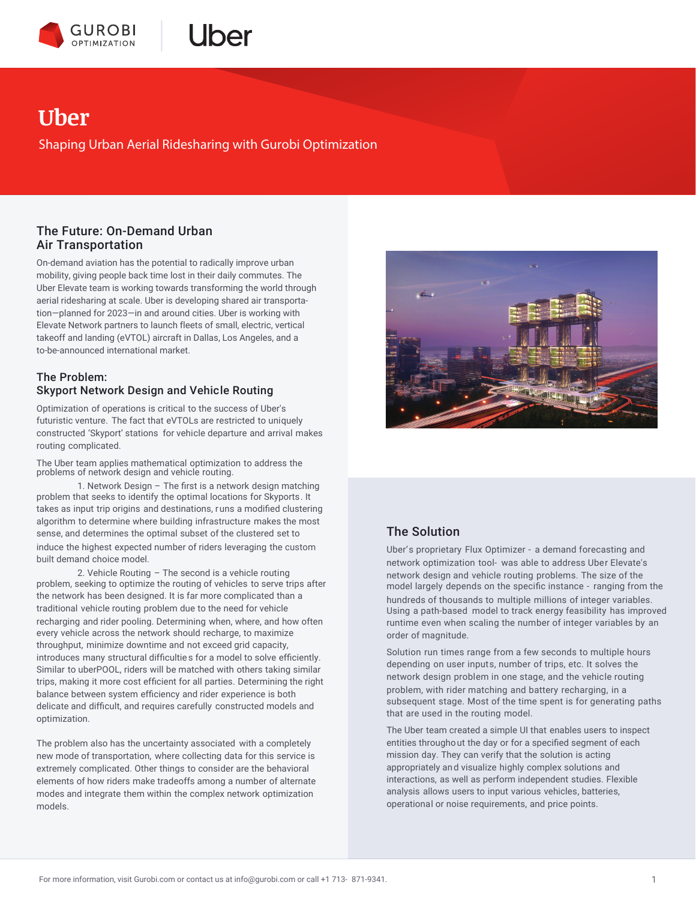



# **Uber**

Shaping Urban Aerial Ridesharing with Gurobi Optimization

### The Future: On-Demand Urban Air Transportation

On-demand aviation has the potential to radically improve urban mobility, giving people back time lost in their daily commutes. The Uber Elevate team is working towards transforming the world through aerial ridesharing at scale. Uber is developing shared air transportation—planned for 2023—in and around cities. Uber is working with Elevate Network partners to launch fleets of small, electric, vertical takeoff and landing (eVTOL) aircraft in Dallas, Los Angeles, and a to-be-announced international market.

### The Problem: Skyport Network Design and Vehicle Routing

Optimization of operations is critical to the success of Uber's futuristic venture. The fact that eVTOLs are restricted to uniquely constructed 'Skyport' stations for vehicle departure and arrival makes routing complicated.

The Uber team applies mathematical optimization to address the problems of network design and vehicle routing.

1. Network Design – The first is a network design matching problem that seeks to identify the optimal locations for Skyports. It takes as input trip origins and destinations, r uns a modified clustering algorithm to determine where building infrastructure makes the most sense, and determines the optimal subset of the clustered set to induce the highest expected number of riders leveraging the custom built demand choice model.

2. Vehicle Routing – The second is a vehicle routing problem, seeking to optimize the routing of vehicles to serve trips after the network has been designed. It is far more complicated than a traditional vehicle routing problem due to the need for vehicle recharging and rider pooling. Determining when, where, and how often every vehicle across the network should recharge, to maximize throughput, minimize downtime and not exceed grid capacity, introduces many structural difficultie s for a model to solve efficiently. Similar to uberPOOL, riders will be matched with others taking similar trips, making it more cost efficient for all parties. Determining the right balance between system efficiency and rider experience is both delicate and difficult, and requires carefully constructed models and optimization.

The problem also has the uncertainty associated with a completely new mode of transportation, where collecting data for this service is extremely complicated. Other things to consider are the behavioral elements of how riders make tradeoffs among a number of alternate modes and integrate them within the complex network optimization models.



## The Solution

Uber's proprietary Flux Optimizer - a demand forecasting and network optimization tool- was able to address Uber Elevate's network design and vehicle routing problems. The size of the model largely depends on the specific instance - ranging from the hundreds of thousands to multiple millions of integer variables. Using a path-based model to track energy feasibility has improved runtime even when scaling the number of integer variables by an order of magnitude.

Solution run times range from a few seconds to multiple hours depending on user inputs, number of trips, etc. It solves the network design problem in one stage, and the vehicle routing problem, with rider matching and battery recharging, in a subsequent stage. Most of the time spent is for generating paths that are used in the routing model.

The Uber team created a simple UI that enables users to inspect entities throughout the day or for a specified segment of each mission day. They can verify that the solution is acting appropriately and visualize highly complex solutions and interactions, as well as perform independent studies. Flexible analysis allows users to input various vehicles, batteries, operational or noise requirements, and price points.